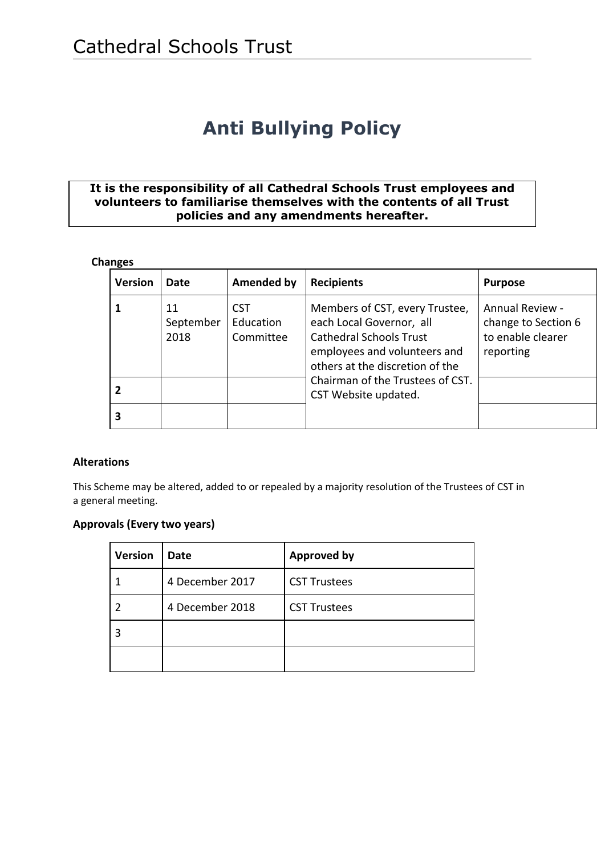# **Anti Bullying Policy**

#### **It is the responsibility of all Cathedral Schools Trust employees and volunteers to familiarise themselves with the contents of all Trust policies and any amendments hereafter.**

#### **Changes**

| <b>Version</b> | <b>Date</b>             | <b>Amended by</b>                    | <b>Recipients</b>                                                                                                                                                                                                           | <b>Purpose</b>                                                           |
|----------------|-------------------------|--------------------------------------|-----------------------------------------------------------------------------------------------------------------------------------------------------------------------------------------------------------------------------|--------------------------------------------------------------------------|
|                | 11<br>September<br>2018 | <b>CST</b><br>Education<br>Committee | Members of CST, every Trustee,<br>each Local Governor, all<br><b>Cathedral Schools Trust</b><br>employees and volunteers and<br>others at the discretion of the<br>Chairman of the Trustees of CST.<br>CST Website updated. | Annual Review -<br>change to Section 6<br>to enable clearer<br>reporting |
|                |                         |                                      |                                                                                                                                                                                                                             |                                                                          |
|                |                         |                                      |                                                                                                                                                                                                                             |                                                                          |

#### **Alterations**

This Scheme may be altered, added to or repealed by a majority resolution of the Trustees of CST in a general meeting.

#### **Approvals (Every two years)**

| <b>Version</b> | Date            | <b>Approved by</b>  |
|----------------|-----------------|---------------------|
|                | 4 December 2017 | <b>CST Trustees</b> |
|                | 4 December 2018 | <b>CST Trustees</b> |
|                |                 |                     |
|                |                 |                     |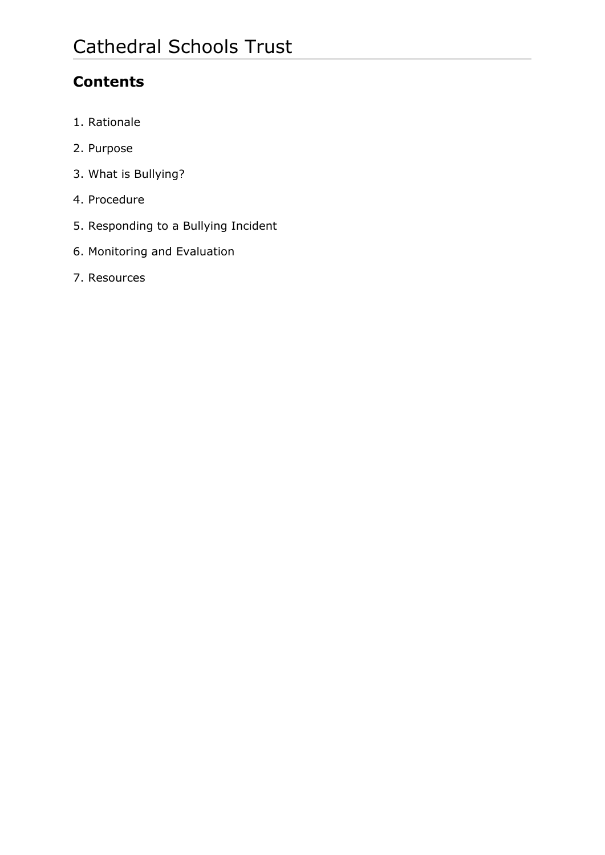# **Contents**

- 1. Rationale
- 2. Purpose
- 3. What is Bullying?
- 4. Procedure
- 5. Responding to a Bullying Incident
- 6. Monitoring and Evaluation
- 7. Resources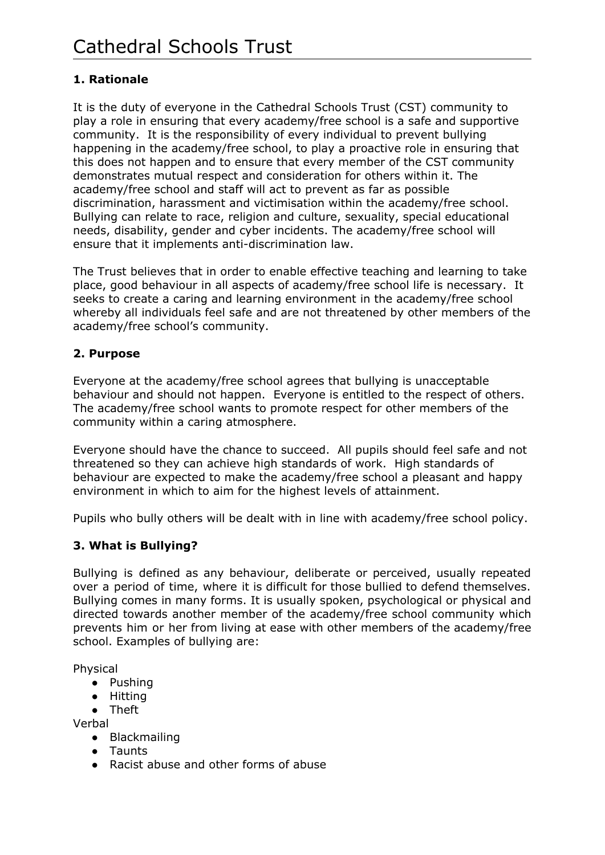# **1. Rationale**

It is the duty of everyone in the Cathedral Schools Trust (CST) community to play a role in ensuring that every academy/free school is a safe and supportive community. It is the responsibility of every individual to prevent bullying happening in the academy/free school, to play a proactive role in ensuring that this does not happen and to ensure that every member of the CST community demonstrates mutual respect and consideration for others within it. The academy/free school and staff will act to prevent as far as possible discrimination, harassment and victimisation within the academy/free school. Bullying can relate to race, religion and culture, sexuality, special educational needs, disability, gender and cyber incidents. The academy/free school will ensure that it implements anti-discrimination law.

The Trust believes that in order to enable effective teaching and learning to take place, good behaviour in all aspects of academy/free school life is necessary. It seeks to create a caring and learning environment in the academy/free school whereby all individuals feel safe and are not threatened by other members of the academy/free school's community.

#### **2. Purpose**

Everyone at the academy/free school agrees that bullying is unacceptable behaviour and should not happen. Everyone is entitled to the respect of others. The academy/free school wants to promote respect for other members of the community within a caring atmosphere.

Everyone should have the chance to succeed. All pupils should feel safe and not threatened so they can achieve high standards of work. High standards of behaviour are expected to make the academy/free school a pleasant and happy environment in which to aim for the highest levels of attainment.

Pupils who bully others will be dealt with in line with academy/free school policy.

#### **3. What is Bullying?**

Bullying is defined as any behaviour, deliberate or perceived, usually repeated over a period of time, where it is difficult for those bullied to defend themselves. Bullying comes in many forms. It is usually spoken, psychological or physical and directed towards another member of the academy/free school community which prevents him or her from living at ease with other members of the academy/free school. Examples of bullying are:

Physical

- Pushing
- Hitting
- Theft

Verbal

- Blackmailing
- Taunts
- Racist abuse and other forms of abuse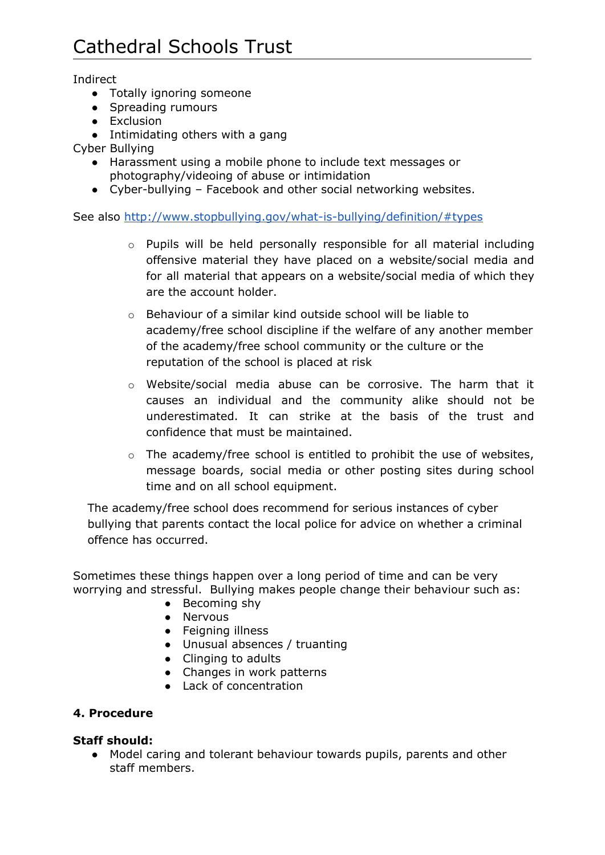Indirect

- Totally ignoring someone
- Spreading rumours
- Exclusion
- Intimidating others with a gang

Cyber Bullying

- Harassment using a mobile phone to include text messages or photography/videoing of abuse or intimidation
- Cyber-bullying Facebook and other social networking websites.

See also <http://www.stopbullying.gov/what-is-bullying/definition/#types>

- o Pupils will be held personally responsible for all material including offensive material they have placed on a website/social media and for all material that appears on a website/social media of which they are the account holder.
- o Behaviour of a similar kind outside school will be liable to academy/free school discipline if the welfare of any another member of the academy/free school community or the culture or the reputation of the school is placed at risk
- $\circ$  Website/social media abuse can be corrosive. The harm that it causes an individual and the community alike should not be underestimated. It can strike at the basis of the trust and confidence that must be maintained.
- $\circ$  The academy/free school is entitled to prohibit the use of websites, message boards, social media or other posting sites during school time and on all school equipment.

The academy/free school does recommend for serious instances of cyber bullying that parents contact the local police for advice on whether a criminal offence has occurred.

Sometimes these things happen over a long period of time and can be very worrying and stressful. Bullying makes people change their behaviour such as:

- Becoming shy
- Nervous
- Feigning illness
- Unusual absences / truanting
- Clinging to adults
- Changes in work patterns
- Lack of concentration

#### **4. Procedure**

#### **Staff should:**

● Model caring and tolerant behaviour towards pupils, parents and other staff members.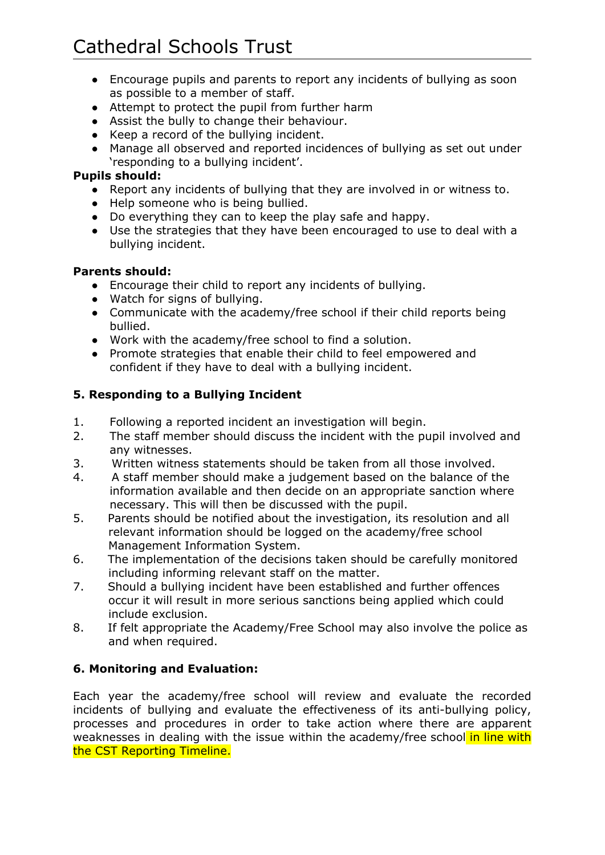- Encourage pupils and parents to report any incidents of bullying as soon as possible to a member of staff.
- Attempt to protect the pupil from further harm
- Assist the bully to change their behaviour.
- Keep a record of the bullying incident.
- Manage all observed and reported incidences of bullying as set out under 'responding to a bullying incident'.

#### **Pupils should:**

- Report any incidents of bullying that they are involved in or witness to.
- Help someone who is being bullied.
- Do everything they can to keep the play safe and happy.
- Use the strategies that they have been encouraged to use to deal with a bullying incident.

#### **Parents should:**

- Encourage their child to report any incidents of bullying.
- Watch for signs of bullying.
- Communicate with the academy/free school if their child reports being bullied.
- Work with the academy/free school to find a solution.
- Promote strategies that enable their child to feel empowered and confident if they have to deal with a bullying incident.

## **5. Responding to a Bullying Incident**

- 1. Following a reported incident an investigation will begin.
- 2. The staff member should discuss the incident with the pupil involved and any witnesses.
- 3. Written witness statements should be taken from all those involved.
- 4. A staff member should make a judgement based on the balance of the information available and then decide on an appropriate sanction where necessary. This will then be discussed with the pupil.
- 5. Parents should be notified about the investigation, its resolution and all relevant information should be logged on the academy/free school Management Information System.
- 6. The implementation of the decisions taken should be carefully monitored including informing relevant staff on the matter.
- 7. Should a bullying incident have been established and further offences occur it will result in more serious sanctions being applied which could include exclusion.
- 8. If felt appropriate the Academy/Free School may also involve the police as and when required.

## **6. Monitoring and Evaluation:**

Each year the academy/free school will review and evaluate the recorded incidents of bullying and evaluate the effectiveness of its anti-bullying policy, processes and procedures in order to take action where there are apparent weaknesses in dealing with the issue within the academy/free school in line with the CST Reporting Timeline.